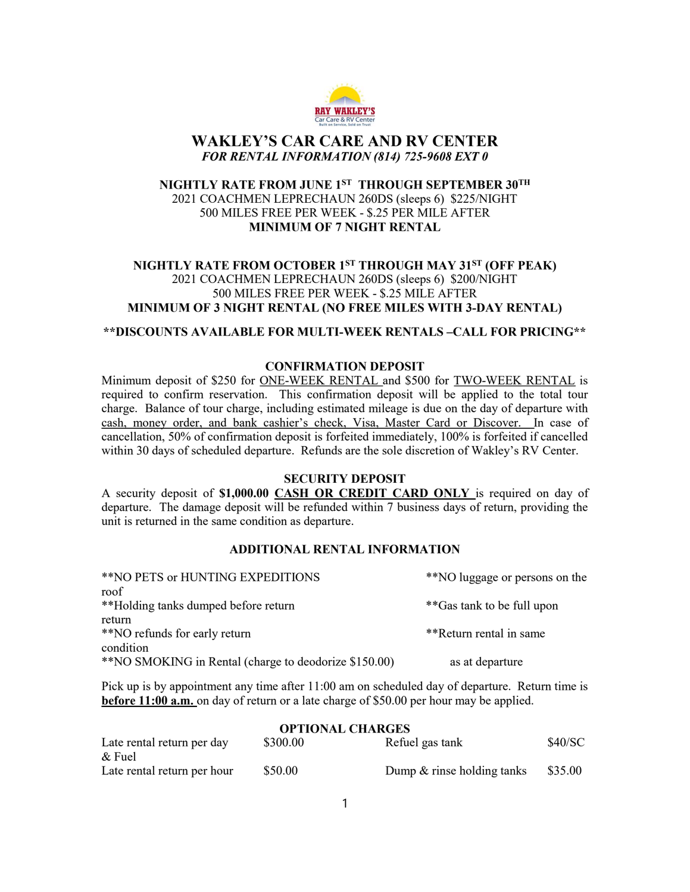

# WAKLEY'S CAR CARE AND RV CENTER FOR RENTAL INFORMATION (814) 725-9608 EXT 0

## NIGHTLY RATE FROM JUNE 1ST THROUGH SEPTEMBER 30TH 2021 COACHMEN LEPRECHAUN 260DS (sleeps 6) \$225/NIGHT 500 MILES FREE PER WEEK - \$.25 PER MILE AFTER MINIMUM OF 7 NIGHT RENTAL

## NIGHTLY RATE FROM OCTOBER 1<sup>st</sup> THROUGH MAY 31<sup>st</sup> (OFF PEAK) 2021 COACHMEN LEPRECHAUN 260DS (sleeps 6) \$200/NIGHT 500 MILES FREE PER WEEK - \$.25 MILE AFTER MINIMUM OF 3 NIGHT RENTAL (NO FREE MILES WITH 3-DAY RENTAL)

#### \*\*DISCOUNTS AVAILABLE FOR MULTI-WEEK RENTALS –CALL FOR PRICING\*\*

### CONFIRMATION DEPOSIT

Minimum deposit of \$250 for ONE-WEEK RENTAL and \$500 for TWO-WEEK RENTAL is required to confirm reservation. This confirmation deposit will be applied to the total tour charge. Balance of tour charge, including estimated mileage is due on the day of departure with cash, money order, and bank cashier's check, Visa, Master Card or Discover. In case of cancellation, 50% of confirmation deposit is forfeited immediately, 100% is forfeited if cancelled within 30 days of scheduled departure. Refunds are the sole discretion of Wakley's RV Center.

#### SECURITY DEPOSIT

A security deposit of \$1,000.00 CASH OR CREDIT CARD ONLY is required on day of departure. The damage deposit will be refunded within 7 business days of return, providing the unit is returned in the same condition as departure.

### ADDITIONAL RENTAL INFORMATION

| **NO PETS or HUNTING EXPEDITIONS                      | **NO luggage or persons on the |
|-------------------------------------------------------|--------------------------------|
| roof                                                  |                                |
| **Holding tanks dumped before return                  | **Gas tank to be full upon     |
| return                                                |                                |
| **NO refunds for early return                         | **Return rental in same        |
| condition                                             |                                |
| **NO SMOKING in Rental (charge to deodorize \$150.00) | as at departure                |

Pick up is by appointment any time after 11:00 am on scheduled day of departure. Return time is before 11:00 a.m. on day of return or a late charge of \$50.00 per hour may be applied.

| <b>OPTIONAL CHARGES</b>     |          |                            |         |  |  |  |
|-----------------------------|----------|----------------------------|---------|--|--|--|
| Late rental return per day  | \$300.00 | Refuel gas tank            | \$40/SC |  |  |  |
| $\&$ Fuel                   |          |                            |         |  |  |  |
| Late rental return per hour | \$50.00  | Dump & rinse holding tanks | \$35.00 |  |  |  |